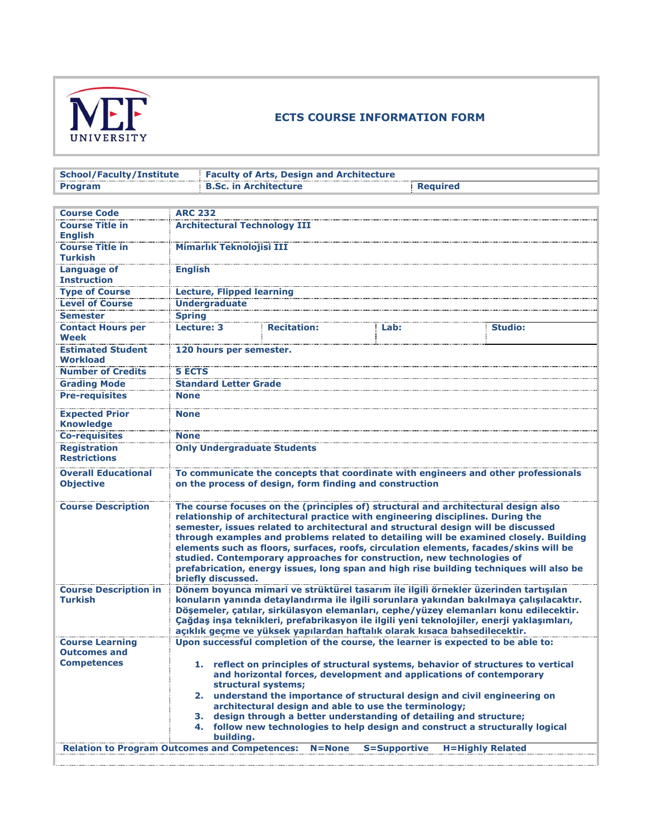

## **ECTS COURSE INFORMATION FORM**

| <b>School/Faculty/Institute</b>                      |                                     | <b>Faculty of Arts, Design and Architecture</b>                                                                                                           |                     |                                                                                                                                                                                                                                                                                                                                                                                                                                                      |  |  |  |
|------------------------------------------------------|-------------------------------------|-----------------------------------------------------------------------------------------------------------------------------------------------------------|---------------------|------------------------------------------------------------------------------------------------------------------------------------------------------------------------------------------------------------------------------------------------------------------------------------------------------------------------------------------------------------------------------------------------------------------------------------------------------|--|--|--|
| <b>Program</b>                                       | <b>B.Sc. in Architecture</b>        |                                                                                                                                                           | <b>Required</b>     |                                                                                                                                                                                                                                                                                                                                                                                                                                                      |  |  |  |
|                                                      |                                     |                                                                                                                                                           |                     |                                                                                                                                                                                                                                                                                                                                                                                                                                                      |  |  |  |
| <b>Course Code</b>                                   | <b>ARC 232</b>                      |                                                                                                                                                           |                     |                                                                                                                                                                                                                                                                                                                                                                                                                                                      |  |  |  |
| <b>Course Title in</b><br><b>English</b>             | <b>Architectural Technology III</b> |                                                                                                                                                           |                     |                                                                                                                                                                                                                                                                                                                                                                                                                                                      |  |  |  |
| <b>Course Title in</b><br><b>Turkish</b>             | Mimarlık Teknolojisi III            |                                                                                                                                                           |                     |                                                                                                                                                                                                                                                                                                                                                                                                                                                      |  |  |  |
| <b>Language of</b><br><b>Instruction</b>             | <b>English</b>                      |                                                                                                                                                           |                     |                                                                                                                                                                                                                                                                                                                                                                                                                                                      |  |  |  |
| <b>Type of Course</b>                                | <b>Lecture, Flipped learning</b>    |                                                                                                                                                           |                     |                                                                                                                                                                                                                                                                                                                                                                                                                                                      |  |  |  |
| <b>Level of Course</b>                               | <b>Undergraduate</b>                |                                                                                                                                                           |                     |                                                                                                                                                                                                                                                                                                                                                                                                                                                      |  |  |  |
| <b>Semester</b>                                      | <b>Spring</b>                       |                                                                                                                                                           |                     |                                                                                                                                                                                                                                                                                                                                                                                                                                                      |  |  |  |
| <b>Contact Hours per</b><br>Week                     | Lecture: 3                          | <b>Recitation:</b>                                                                                                                                        | Lab:                | <b>Studio:</b>                                                                                                                                                                                                                                                                                                                                                                                                                                       |  |  |  |
| <b>Estimated Student</b><br>Workload                 | 120 hours per semester.             |                                                                                                                                                           |                     |                                                                                                                                                                                                                                                                                                                                                                                                                                                      |  |  |  |
| <b>Number of Credits</b>                             | <b>5 ECTS</b>                       |                                                                                                                                                           |                     |                                                                                                                                                                                                                                                                                                                                                                                                                                                      |  |  |  |
| <b>Grading Mode</b>                                  | <b>Standard Letter Grade</b>        |                                                                                                                                                           |                     |                                                                                                                                                                                                                                                                                                                                                                                                                                                      |  |  |  |
| <b>Pre-requisites</b>                                | <b>None</b>                         |                                                                                                                                                           |                     |                                                                                                                                                                                                                                                                                                                                                                                                                                                      |  |  |  |
| <b>Expected Prior</b><br><b>Knowledge</b>            | <b>None</b>                         |                                                                                                                                                           |                     |                                                                                                                                                                                                                                                                                                                                                                                                                                                      |  |  |  |
| <b>Co-requisites</b>                                 | <b>None</b>                         |                                                                                                                                                           |                     |                                                                                                                                                                                                                                                                                                                                                                                                                                                      |  |  |  |
| <b>Registration</b><br><b>Restrictions</b>           | <b>Only Undergraduate Students</b>  |                                                                                                                                                           |                     |                                                                                                                                                                                                                                                                                                                                                                                                                                                      |  |  |  |
| <b>Overall Educational</b><br><b>Objective</b>       |                                     | on the process of design, form finding and construction                                                                                                   |                     | To communicate the concepts that coordinate with engineers and other professionals                                                                                                                                                                                                                                                                                                                                                                   |  |  |  |
| <b>Course Description</b>                            | briefly discussed.                  | relationship of architectural practice with engineering disciplines. During the<br>studied. Contemporary approaches for construction, new technologies of |                     | The course focuses on the (principles of) structural and architectural design also<br>semester, issues related to architectural and structural design will be discussed<br>through examples and problems related to detailing will be examined closely. Building<br>elements such as floors, surfaces, roofs, circulation elements, facades/skins will be<br>prefabrication, energy issues, long span and high rise building techniques will also be |  |  |  |
| <b>Course Description in</b>                         |                                     |                                                                                                                                                           |                     | Dönem boyunca mimari ve strüktürel tasarım ile ilgili örnekler üzerinden tartışılan                                                                                                                                                                                                                                                                                                                                                                  |  |  |  |
| <b>Turkish</b>                                       |                                     | açıklık geçme ve yüksek yapılardan haftalık olarak kısaca bahsedilecektir.                                                                                |                     | konuların yanında detaylandırma ile ilgili sorunlara yakından bakılmaya çalışılacaktır.<br>Döşemeler, çatılar, sirkülasyon elemanları, cephe/yüzey elemanları konu edilecektir.<br>Çağdaş inşa teknikleri, prefabrikasyon ile ilgili yeni teknolojiler, enerji yaklaşımları,                                                                                                                                                                         |  |  |  |
| <b>Course Learning</b>                               |                                     | Upon successful completion of the course, the learner is expected to be able to:                                                                          |                     |                                                                                                                                                                                                                                                                                                                                                                                                                                                      |  |  |  |
| <b>Outcomes and</b>                                  |                                     |                                                                                                                                                           |                     |                                                                                                                                                                                                                                                                                                                                                                                                                                                      |  |  |  |
| <b>Competences</b>                                   | structural systems;                 | and horizontal forces, development and applications of contemporary                                                                                       |                     | 1. reflect on principles of structural systems, behavior of structures to vertical                                                                                                                                                                                                                                                                                                                                                                   |  |  |  |
|                                                      |                                     | architectural design and able to use the terminology;                                                                                                     |                     | 2. understand the importance of structural design and civil engineering on                                                                                                                                                                                                                                                                                                                                                                           |  |  |  |
|                                                      | 3.<br>building.                     | design through a better understanding of detailing and structure;                                                                                         |                     | 4. follow new technologies to help design and construct a structurally logical                                                                                                                                                                                                                                                                                                                                                                       |  |  |  |
| <b>Relation to Program Outcomes and Competences:</b> |                                     | $N = None$                                                                                                                                                | <b>S=Supportive</b> | <b>H=Highly Related</b>                                                                                                                                                                                                                                                                                                                                                                                                                              |  |  |  |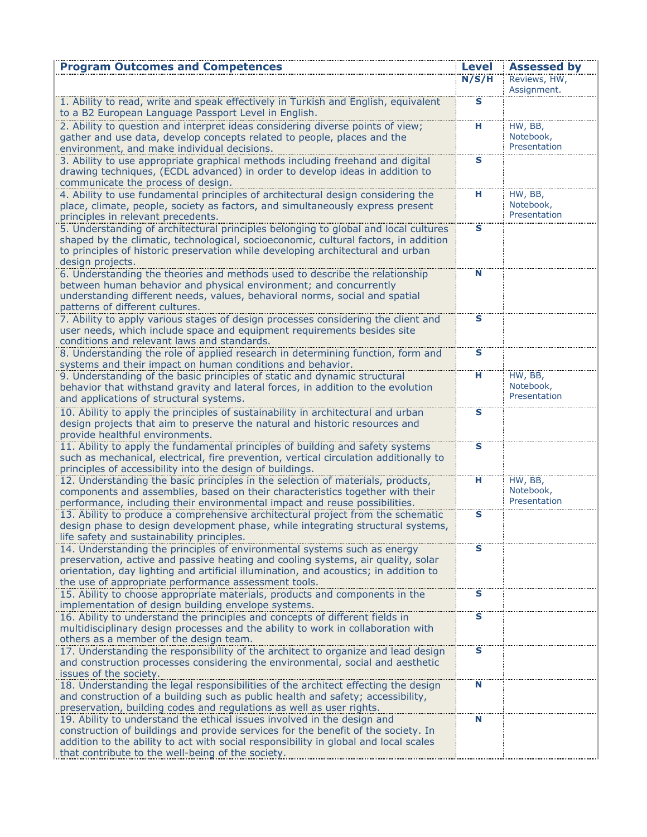| <b>Program Outcomes and Competences</b>                                                                                                                             | <b>Level</b>            | <b>Assessed by</b>   |
|---------------------------------------------------------------------------------------------------------------------------------------------------------------------|-------------------------|----------------------|
|                                                                                                                                                                     | N/S/H                   | Reviews, HW,         |
|                                                                                                                                                                     |                         | Assignment.          |
| 1. Ability to read, write and speak effectively in Turkish and English, equivalent                                                                                  | $\overline{\mathbf{s}}$ |                      |
| to a B2 European Language Passport Level in English.                                                                                                                | $\overline{\mathbf{H}}$ |                      |
| 2. Ability to question and interpret ideas considering diverse points of view;<br>gather and use data, develop concepts related to people, places and the           |                         | HW, BB,<br>Notebook, |
| environment, and make individual decisions.                                                                                                                         |                         | Presentation         |
| 3. Ability to use appropriate graphical methods including freehand and digital                                                                                      | s                       |                      |
| drawing techniques, (ECDL advanced) in order to develop ideas in addition to                                                                                        |                         |                      |
| communicate the process of design.                                                                                                                                  |                         |                      |
| 4. Ability to use fundamental principles of architectural design considering the                                                                                    | н                       | HW, BB,              |
| place, climate, people, society as factors, and simultaneously express present                                                                                      |                         | Notebook,            |
| principles in relevant precedents.                                                                                                                                  |                         | Presentation         |
| 5. Understanding of architectural principles belonging to global and local cultures                                                                                 | s                       |                      |
| shaped by the climatic, technological, socioeconomic, cultural factors, in addition                                                                                 |                         |                      |
| to principles of historic preservation while developing architectural and urban<br>design projects.                                                                 |                         |                      |
| 6. Understanding the theories and methods used to describe the relationship                                                                                         | N                       |                      |
| between human behavior and physical environment; and concurrently                                                                                                   |                         |                      |
| understanding different needs, values, behavioral norms, social and spatial                                                                                         |                         |                      |
| patterns of different cultures.                                                                                                                                     |                         |                      |
| 7. Ability to apply various stages of design processes considering the client and                                                                                   | s                       |                      |
| user needs, which include space and equipment requirements besides site                                                                                             |                         |                      |
| conditions and relevant laws and standards.                                                                                                                         |                         |                      |
| 8. Understanding the role of applied research in determining function, form and                                                                                     | $\overline{\mathbf{s}}$ |                      |
| systems and their impact on human conditions and behavior.                                                                                                          |                         |                      |
| 9. Understanding of the basic principles of static and dynamic structural                                                                                           | н                       | HW, BB,<br>Notebook, |
| behavior that withstand gravity and lateral forces, in addition to the evolution<br>and applications of structural systems.                                         |                         | Presentation         |
|                                                                                                                                                                     | $\overline{\mathbf{s}}$ |                      |
| 10. Ability to apply the principles of sustainability in architectural and urban<br>design projects that aim to preserve the natural and historic resources and     |                         |                      |
| provide healthful environments.                                                                                                                                     |                         |                      |
| 11. Ability to apply the fundamental principles of building and safety systems                                                                                      | $\mathbf{s}$            |                      |
| such as mechanical, electrical, fire prevention, vertical circulation additionally to                                                                               |                         |                      |
| principles of accessibility into the design of buildings.                                                                                                           |                         |                      |
| 12. Understanding the basic principles in the selection of materials, products,                                                                                     | н                       | HW, BB,              |
| components and assemblies, based on their characteristics together with their                                                                                       |                         | Notebook,            |
| performance, including their environmental impact and reuse possibilities.                                                                                          |                         | Presentation         |
| 13. Ability to produce a comprehensive architectural project from the schematic                                                                                     | s                       |                      |
| design phase to design development phase, while integrating structural systems,<br>life safety and sustainability principles.                                       |                         |                      |
| 14. Understanding the principles of environmental systems such as energy                                                                                            | S                       |                      |
| preservation, active and passive heating and cooling systems, air quality, solar                                                                                    |                         |                      |
| orientation, day lighting and artificial illumination, and acoustics; in addition to                                                                                |                         |                      |
| the use of appropriate performance assessment tools.                                                                                                                |                         |                      |
| 15. Ability to choose appropriate materials, products and components in the                                                                                         | $\mathbf{s}$            |                      |
| implementation of design building envelope systems.                                                                                                                 |                         |                      |
| 16. Ability to understand the principles and concepts of different fields in                                                                                        | S                       |                      |
| multidisciplinary design processes and the ability to work in collaboration with                                                                                    |                         |                      |
| others as a member of the design team.                                                                                                                              |                         |                      |
| 17. Understanding the responsibility of the architect to organize and lead design<br>and construction processes considering the environmental, social and aesthetic | $\overline{\mathbf{s}}$ |                      |
| issues of the society.                                                                                                                                              |                         |                      |
| 18. Understanding the legal responsibilities of the architect effecting the design                                                                                  | N                       |                      |
| and construction of a building such as public health and safety; accessibility,                                                                                     |                         |                      |
| preservation, building codes and regulations as well as user rights.                                                                                                |                         |                      |
| 19. Ability to understand the ethical issues involved in the design and                                                                                             | N                       |                      |
| construction of buildings and provide services for the benefit of the society. In                                                                                   |                         |                      |
| addition to the ability to act with social responsibility in global and local scales                                                                                |                         |                      |
| that contribute to the well-being of the society.                                                                                                                   |                         |                      |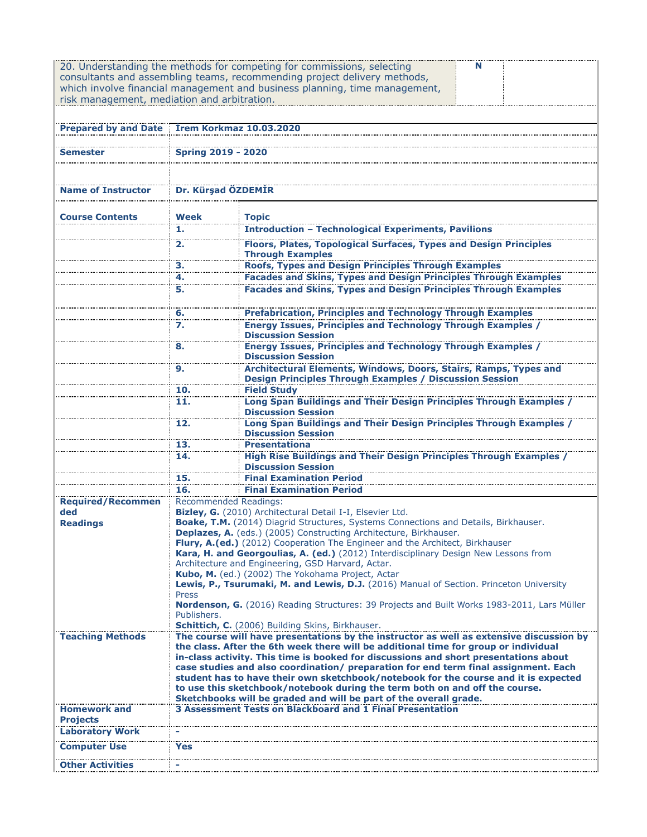| risk management, mediation and arbitration. |                                                                                                        | 20. Understanding the methods for competing for commissions, selecting<br>consultants and assembling teams, recommending project delivery methods,<br>which involve financial management and business planning, time management,                                                                                                                                                                                                                                                                                                                                                                         |  |  |  |
|---------------------------------------------|--------------------------------------------------------------------------------------------------------|----------------------------------------------------------------------------------------------------------------------------------------------------------------------------------------------------------------------------------------------------------------------------------------------------------------------------------------------------------------------------------------------------------------------------------------------------------------------------------------------------------------------------------------------------------------------------------------------------------|--|--|--|
| <b>Prepared by and Date</b>                 | <b>İrem Korkmaz 10.03.2020</b>                                                                         |                                                                                                                                                                                                                                                                                                                                                                                                                                                                                                                                                                                                          |  |  |  |
| Semester                                    | <b>Spring 2019 - 2020</b>                                                                              |                                                                                                                                                                                                                                                                                                                                                                                                                                                                                                                                                                                                          |  |  |  |
|                                             | Dr. Kürşad ÖZDEMİR                                                                                     |                                                                                                                                                                                                                                                                                                                                                                                                                                                                                                                                                                                                          |  |  |  |
| <b>Course Contents</b>                      | Week                                                                                                   | <b>Topic</b>                                                                                                                                                                                                                                                                                                                                                                                                                                                                                                                                                                                             |  |  |  |
|                                             | 1.                                                                                                     | <b>Introduction - Technological Experiments, Pavilions</b><br><b>Floors, Plates, Topological Surfaces, Types and Design Principles</b>                                                                                                                                                                                                                                                                                                                                                                                                                                                                   |  |  |  |
|                                             | 2.                                                                                                     | <b>Through Examples</b>                                                                                                                                                                                                                                                                                                                                                                                                                                                                                                                                                                                  |  |  |  |
|                                             | з.                                                                                                     | Roofs, Types and Design Principles Through Examples<br>Facades and Skins, Types and Design Principles Through Examples                                                                                                                                                                                                                                                                                                                                                                                                                                                                                   |  |  |  |
|                                             | 4.                                                                                                     |                                                                                                                                                                                                                                                                                                                                                                                                                                                                                                                                                                                                          |  |  |  |
|                                             | 5.                                                                                                     | <b>Facades and Skins, Types and Design Principles Through Examples</b>                                                                                                                                                                                                                                                                                                                                                                                                                                                                                                                                   |  |  |  |
|                                             | 6.                                                                                                     | <b>Prefabrication, Principles and Technology Through Examples</b>                                                                                                                                                                                                                                                                                                                                                                                                                                                                                                                                        |  |  |  |
|                                             | $\overline{z}$ .                                                                                       | <b>Energy Issues, Principles and Technology Through Examples /</b>                                                                                                                                                                                                                                                                                                                                                                                                                                                                                                                                       |  |  |  |
|                                             | 8.                                                                                                     | <b>Discussion Session</b><br><b>Energy Issues, Principles and Technology Through Examples /</b><br><b>Discussion Session</b>                                                                                                                                                                                                                                                                                                                                                                                                                                                                             |  |  |  |
|                                             | 9.                                                                                                     | Architectural Elements, Windows, Doors, Stairs, Ramps, Types and                                                                                                                                                                                                                                                                                                                                                                                                                                                                                                                                         |  |  |  |
|                                             |                                                                                                        | <b>Design Principles Through Examples / Discussion Session</b>                                                                                                                                                                                                                                                                                                                                                                                                                                                                                                                                           |  |  |  |
|                                             | 10.<br>11.                                                                                             | <b>Field Study</b><br>Long Span Buildings and Their Design Principles Through Examples /                                                                                                                                                                                                                                                                                                                                                                                                                                                                                                                 |  |  |  |
|                                             |                                                                                                        | <b>Discussion Session</b>                                                                                                                                                                                                                                                                                                                                                                                                                                                                                                                                                                                |  |  |  |
|                                             | 12.                                                                                                    | Long Span Buildings and Their Design Principles Through Examples /<br><b>Discussion Session</b>                                                                                                                                                                                                                                                                                                                                                                                                                                                                                                          |  |  |  |
|                                             | 13.<br>14.                                                                                             | <b>Presentationa</b><br>High Rise Buildings and Their Design Principles Through Examples /                                                                                                                                                                                                                                                                                                                                                                                                                                                                                                               |  |  |  |
|                                             | 15.                                                                                                    | <b>Discussion Session</b><br><b>Final Examination Period</b>                                                                                                                                                                                                                                                                                                                                                                                                                                                                                                                                             |  |  |  |
|                                             | 16.                                                                                                    | <b>Final Examination Period</b>                                                                                                                                                                                                                                                                                                                                                                                                                                                                                                                                                                          |  |  |  |
| <b>Required/Recommen</b>                    | <b>Recommended Readings:</b>                                                                           |                                                                                                                                                                                                                                                                                                                                                                                                                                                                                                                                                                                                          |  |  |  |
| ded                                         |                                                                                                        | Bizley, G. (2010) Architectural Detail I-I, Elsevier Ltd.                                                                                                                                                                                                                                                                                                                                                                                                                                                                                                                                                |  |  |  |
| <b>Readings</b>                             |                                                                                                        | Boake, T.M. (2014) Diagrid Structures, Systems Connections and Details, Birkhauser.<br>Deplazes, A. (eds.) (2005) Constructing Architecture, Birkhauser.                                                                                                                                                                                                                                                                                                                                                                                                                                                 |  |  |  |
|                                             |                                                                                                        | Flury, A.(ed.) (2012) Cooperation The Engineer and the Architect, Birkhauser                                                                                                                                                                                                                                                                                                                                                                                                                                                                                                                             |  |  |  |
|                                             |                                                                                                        | Kara, H. and Georgoulias, A. (ed.) (2012) Interdisciplinary Design New Lessons from                                                                                                                                                                                                                                                                                                                                                                                                                                                                                                                      |  |  |  |
|                                             | Architecture and Engineering, GSD Harvard, Actar.<br>Kubo, M. (ed.) (2002) The Yokohama Project, Actar |                                                                                                                                                                                                                                                                                                                                                                                                                                                                                                                                                                                                          |  |  |  |
|                                             | Lewis, P., Tsurumaki, M. and Lewis, D.J. (2016) Manual of Section. Princeton University                |                                                                                                                                                                                                                                                                                                                                                                                                                                                                                                                                                                                                          |  |  |  |
|                                             | Press<br>Nordenson, G. (2016) Reading Structures: 39 Projects and Built Works 1983-2011, Lars Müller   |                                                                                                                                                                                                                                                                                                                                                                                                                                                                                                                                                                                                          |  |  |  |
|                                             | Publishers.                                                                                            |                                                                                                                                                                                                                                                                                                                                                                                                                                                                                                                                                                                                          |  |  |  |
|                                             |                                                                                                        | Schittich, C. (2006) Building Skins, Birkhauser.                                                                                                                                                                                                                                                                                                                                                                                                                                                                                                                                                         |  |  |  |
| <b>Teaching Methods</b>                     |                                                                                                        | The course will have presentations by the instructor as well as extensive discussion by<br>the class. After the 6th week there will be additional time for group or individual<br>in-class activity. This time is booked for discussions and short presentations about<br>case studies and also coordination/ preparation for end term final assignment. Each<br>student has to have their own sketchbook/notebook for the course and it is expected<br>to use this sketchbook/notebook during the term both on and off the course.<br>Sketchbooks will be graded and will be part of the overall grade. |  |  |  |
| <b>Homework and</b>                         |                                                                                                        | 3 Assessment Tests on Blackboard and 1 Final Presentation                                                                                                                                                                                                                                                                                                                                                                                                                                                                                                                                                |  |  |  |
| <b>Projects</b><br><b>Laboratory Work</b>   |                                                                                                        |                                                                                                                                                                                                                                                                                                                                                                                                                                                                                                                                                                                                          |  |  |  |
| <b>Computer Use</b>                         | Yes                                                                                                    |                                                                                                                                                                                                                                                                                                                                                                                                                                                                                                                                                                                                          |  |  |  |
| <b>Other Activities</b>                     |                                                                                                        |                                                                                                                                                                                                                                                                                                                                                                                                                                                                                                                                                                                                          |  |  |  |